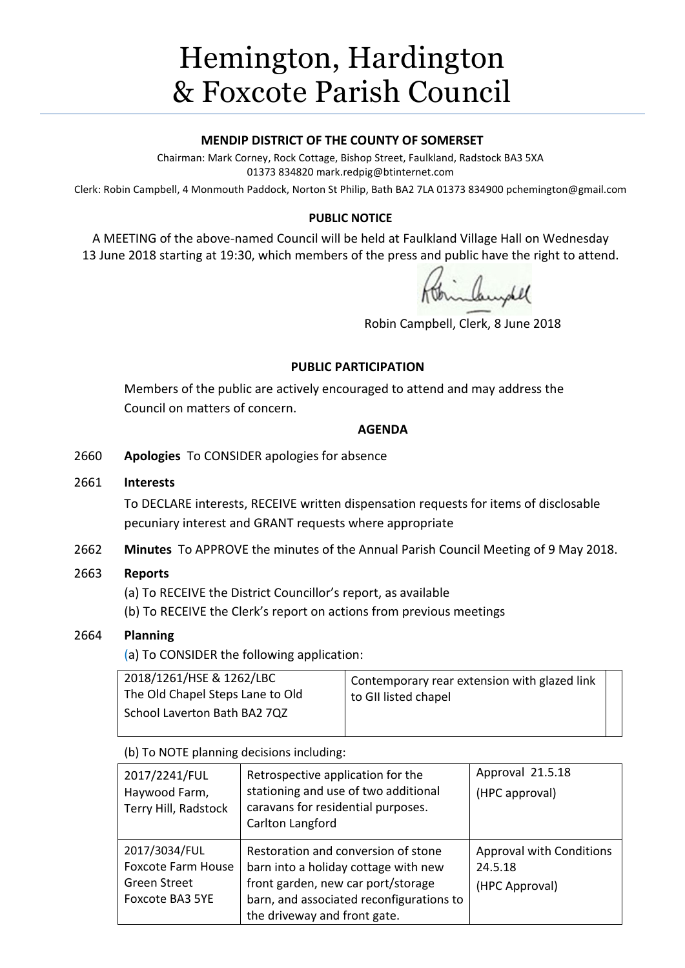# Hemington, Hardington & Foxcote Parish Council

#### **MENDIP DISTRICT OF THE COUNTY OF SOMERSET**

Chairman: Mark Corney, Rock Cottage, Bishop Street, Faulkland, Radstock BA3 5XA 01373 834820 mark.redpig@btinternet.com

Clerk: Robin Campbell, 4 Monmouth Paddock, Norton St Philip, Bath BA2 7LA 01373 834900 [pchemington@gmail.com](mailto:pchemington@gmail.com)

#### **PUBLIC NOTICE**

A MEETING of the above-named Council will be held at Faulkland Village Hall on Wednesday 13 June 2018 starting at 19:30, which members of the press and public have the right to attend.

Robin Campbell, Clerk, 8 June 2018

#### **PUBLIC PARTICIPATION**

Members of the public are actively encouraged to attend and may address the Council on matters of concern.

#### **AGENDA**

2660 **Apologies** To CONSIDER apologies for absence

#### 2661 **Interests**

To DECLARE interests, RECEIVE written dispensation requests for items of disclosable pecuniary interest and GRANT requests where appropriate

2662 **Minutes** To APPROVE the minutes of the Annual Parish Council Meeting of 9 May 2018.

#### 2663 **Reports**

(a) To RECEIVE the District Councillor's report, as available

(b) To RECEIVE the Clerk's report on actions from previous meetings

## 2664 **Planning**

(a) To CONSIDER the following application:

| 2018/1261/HSE & 1262/LBC<br>The Old Chapel Steps Lane to Old | Contemporary rear extension with glazed link<br>to GII listed chapel |  |
|--------------------------------------------------------------|----------------------------------------------------------------------|--|
| School Laverton Bath BA2 7QZ                                 |                                                                      |  |

(b) To NOTE planning decisions including:

| 2017/2241/FUL<br>Haywood Farm,<br>Terry Hill, Radstock                               | Retrospective application for the<br>stationing and use of two additional<br>caravans for residential purposes.<br>Carlton Langford                                                           | Approval 21.5.18<br>(HPC approval)                           |
|--------------------------------------------------------------------------------------|-----------------------------------------------------------------------------------------------------------------------------------------------------------------------------------------------|--------------------------------------------------------------|
| 2017/3034/FUL<br><b>Foxcote Farm House</b><br><b>Green Street</b><br>Foxcote BA3 5YE | Restoration and conversion of stone<br>barn into a holiday cottage with new<br>front garden, new car port/storage<br>barn, and associated reconfigurations to<br>the driveway and front gate. | <b>Approval with Conditions</b><br>24.5.18<br>(HPC Approval) |